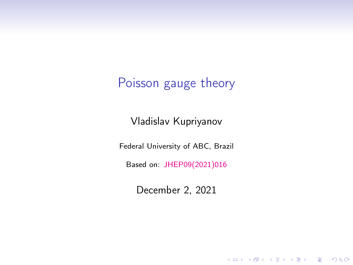# <span id="page-0-0"></span>Poisson gauge theory

Vladislav Kupriyanov

Federal University of ABC, Brazil

Based on: JHEP09(2021)016

December 2, 2021

**K ロ X K 레 X K 회 X X 회 X 및 X X X X X 전**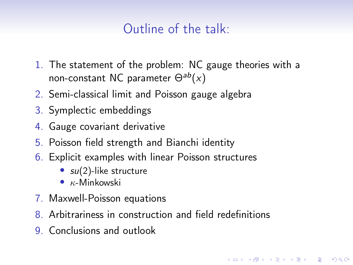# Outline of the talk:

- 1. The statement of the problem: NC gauge theories with a non-constant NC parameter  $\Theta^{ab}(x)$
- 2. Semi-classical limit and Poisson gauge algebra
- 3. Symplectic embeddings
- 4. Gauge covariant derivative
- 5. Poisson field strength and Bianchi identity
- 6. Explicit examples with linear Poisson structures
	- $su(2)$ -like structure
	- $\bullet$  κ-Minkowski
- 7. Maxwell-Poisson equations
- 8. Arbitrariness in construction and field redefinitions

**KORKA BRADE KORA** 

9. Conclusions and outlook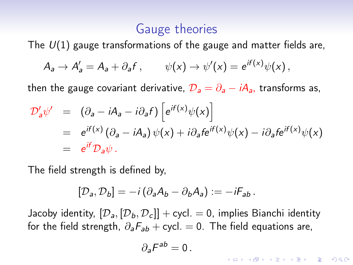## Gauge theories

<span id="page-2-0"></span>The  $U(1)$  gauge transformations of the gauge and matter fields are,

$$
A_a \to A'_a = A_a + \partial_a f , \qquad \psi(x) \to \psi'(x) = e^{if(x)} \psi(x) ,
$$

then the gauge covariant derivative,  $\mathcal{D}_a = \partial_a - iA_a$ , transforms as,

$$
\mathcal{D}'_a \psi' = (\partial_a - iA_a - i\partial_a f) \left[ e^{if(x)} \psi(x) \right]
$$
  
=  $e^{if(x)} (\partial_a - iA_a) \psi(x) + i\partial_a f e^{if(x)} \psi(x) - i\partial_a f e^{if(x)} \psi(x)$   
=  $e^{if} \mathcal{D}_a \psi$ .

The field strength is defined by,

$$
[\mathcal{D}_a,\mathcal{D}_b]=-i(\partial_a A_b-\partial_b A_a):=-iF_{ab}.
$$

Jacoby identity,  $[\mathcal{D}_a, [\mathcal{D}_b, \mathcal{D}_c]] + \text{cycl.} = 0$ , implies Bianchi identity for the field strength,  $\partial_{a}F_{ab}$  + cycl. = 0. The field equations are,

**KORKAR KERKER DRA** 

$$
\partial_a F^{ab}=0\,.
$$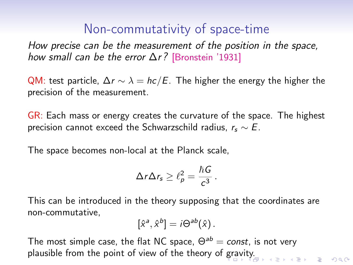# Non-commutativity of space-time

<span id="page-3-0"></span>How precise can be the measurement of the position in the space, how small can be the error  $\Delta r$ ? [Bronstein '1931]

QM: test particle,  $\Delta r \sim \lambda = hc/E$ . The higher the energy the higher the precision of the measurement.

GR: Each mass or energy creates the curvature of the space. The highest precision cannot exceed the Schwarzschild radius,  $r_s \sim E$ .

The space becomes non-local at the Planck scale,

$$
\Delta r \Delta r_s \geq \ell_p^2 = \frac{\hbar G}{c^3}.
$$

This can be introduced in the theory supposing that the coordinates are non-commutative,

$$
[\hat{x}^a,\hat{x}^b]=i\Theta^{ab}(\hat{x})\,.
$$

The most simple case, the flat NC space,  $\Theta^{ab} = const$ , is not very plausible from the point of view of the theory of [gr](#page-2-0)[avi](#page-4-0)[ty](#page-2-0)[.](#page-3-0)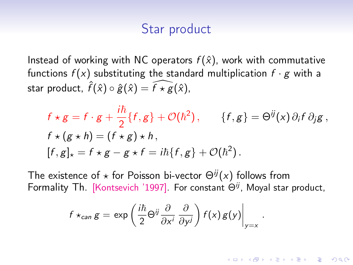## Star product

<span id="page-4-0"></span>Instead of working with NC operators  $f(\hat{x})$ , work with commutative functions  $f(x)$  substituting the standard multiplication  $f \cdot g$  with a star product,  $\hat{f}(\hat{x}) \circ \hat{g}(\hat{x}) = \widehat{f \star g}(\hat{x})$ ,

$$
f \star g = f \cdot g + \frac{i\hbar}{2} \{f, g\} + \mathcal{O}(\hbar^2), \qquad \{f, g\} = \Theta^{ij}(x) \partial_i f \partial_j g,
$$
  
\n
$$
f \star (g \star h) = (f \star g) \star h,
$$
  
\n
$$
[f, g]_\star = f \star g - g \star f = i\hbar \{f, g\} + \mathcal{O}(\hbar^2).
$$

.

**KORKA SERKER STRACK** 

The existence of  $\star$  for Poisson bi-vector  $\Theta^{ij}(x)$  follows from Formality Th. [Kontsevich '1997]. For constant  $\Theta^{ij}$ , Moyal star product,

$$
f \star_{can} g = \exp\left(\frac{i\hbar}{2} \Theta^{ij} \frac{\partial}{\partial x^i} \frac{\partial}{\partial y^j}\right) f(x) g(y) \bigg|_{y=x}
$$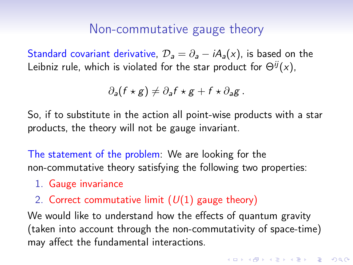## Non-commutative gauge theory

Standard covariant derivative,  $\mathcal{D}_a = \partial_a - iA_a(x)$ , is based on the Leibniz rule, which is violated for the star product for  $\Theta^{ij}(x)$ ,

$$
\partial_a(f \star g) \neq \partial_a f \star g + f \star \partial_a g.
$$

So, if to substitute in the action all point-wise products with a star products, the theory will not be gauge invariant.

The statement of the problem: We are looking for the non-commutative theory satisfying the following two properties:

- 1. Gauge invariance
- 2. Correct commutative limit  $(U(1))$  gauge theory)

We would like to understand how the effects of quantum gravity (taken into account through the non-commutativity of space-time) may affect the fundamental interactions.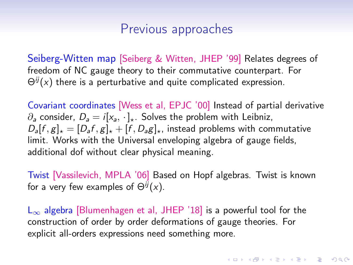## Previous approaches

Seiberg-Witten map [Seiberg & Witten, JHEP '99] Relates degrees of freedom of NC gauge theory to their commutative counterpart. For  $\Theta^{ij}(x)$  there is a perturbative and quite complicated expression.

Covariant coordinates [Wess et al, EPJC '00] Instead of partial derivative  $\partial_a$  consider,  $D_a = i[x_a, \cdot]_{\star}$ . Solves the problem with Leibniz,  $D_a[f, g]_\star = [D_a f, g]_\star + [f, D_a g]_\star$ , instead problems with commutative limit. Works with the Universal enveloping algebra of gauge fields, additional dof without clear physical meaning.

Twist [Vassilevich, MPLA '06] Based on Hopf algebras. Twist is known for a very few examples of  $\Theta^{ij}(x)$ .

 $L_{\infty}$  algebra [Blumenhagen et al, JHEP '18] is a powerful tool for the construction of order by order deformations of gauge theories. For explicit all-orders expressions need something more.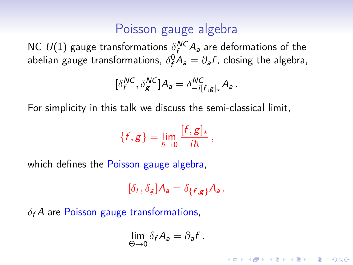# Poisson gauge algebra

NC  $U(1)$  gauge transformations  $\delta_f^{NC}A_a$  are deformations of the abelian gauge transformations,  $\delta^0_f A_a = \partial_a f$ , closing the algebra,

$$
[\delta_f^{NC}, \delta_g^{NC}]A_a = \delta_{-i[f,g]_\star}^{NC}A_a.
$$

For simplicity in this talk we discuss the semi-classical limit,

$$
\{f,g\}=\lim_{\hbar\to 0}\frac{[f,g]_\star}{i\hbar}\,,
$$

which defines the Poisson gauge algebra,

$$
[\delta_f, \delta_g] A_a = \delta_{\{f,g\}} A_a.
$$

 $\delta_f A$  are Poisson gauge transformations,

$$
\lim_{\Theta \to 0} \delta_f A_a = \partial_a f.
$$

**KORKAR KERKER EL VOLO**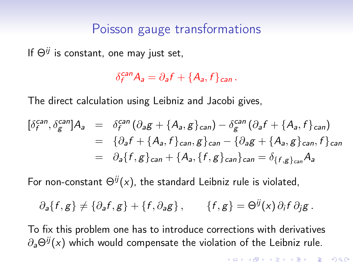#### Poisson gauge transformations

If  $\Theta^{ij}$  is constant, one may just set,

 $\delta_f^{can} A_a = \partial_a f + \{A_a, f\}_{can}$ .

The direct calculation using Leibniz and Jacobi gives,

$$
\begin{array}{rcl}\n[\delta_f^{can}, \delta_g^{can}] A_a & = & \delta_f^{can} \left( \partial_a g + \{ A_a, g \}_{can} \right) - \delta_g^{can} \left( \partial_a f + \{ A_a, f \}_{can} \right) \\
& = & \{ \partial_a f + \{ A_a, f \}_{can}, g \}_{can} - \{ \partial_a g + \{ A_a, g \}_{can}, f \}_{can} \\
& = & \partial_a \{ f, g \}_{can} + \{ A_a, \{ f, g \}_{can} \}_{can} = \delta_{\{ f, g \}_{can}} A_a\n\end{array}
$$

For non-constant  $\Theta^{ij}(x)$ , the standard Leibniz rule is violated,

$$
\partial_a \{f, g\} \neq \{\partial_a f, g\} + \{f, \partial_a g\}, \qquad \{f, g\} = \Theta^{ij}(x) \partial_i f \partial_j g.
$$

To fix this problem one has to introduce corrections with derivatives  $\partial_a\Theta^{ij}(x)$  which would compensate the violation of the Leibniz rule.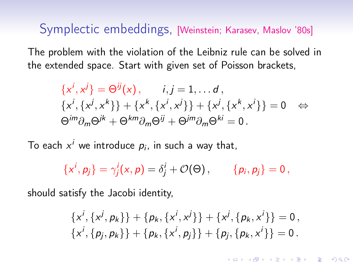Symplectic embeddings, [Weinstein; Karasev, Maslov '80s]

The problem with the violation of the Leibniz rule can be solved in the extended space. Start with given set of Poisson brackets,

$$
\begin{aligned}\n\{x^i, x^j\} &= \Theta^{ij}(x), \qquad i, j = 1, \dots d, \\
\{x^i, \{x^j, x^k\}\} + \{x^k, \{x^i, x^j\}\} + \{x^j, \{x^k, x^i\}\} &= 0 \quad \Leftrightarrow \\
\Theta^{im}\partial_m\Theta^{jk} + \Theta^{km}\partial_m\Theta^{ij} + \Theta^{im}\partial_m\Theta^{ki} &= 0.\n\end{aligned}
$$

To each  $x^i$  we introduce  $p_i$ , in such a way that,

$$
\{x^i,p_j\}=\gamma^i_j(x,p)=\delta^i_j+\mathcal{O}(\Theta)\,,\qquad \{p_i,p_j\}=0\,,
$$

should satisfy the Jacobi identity,

$$
\{x^i, \{x^j, p_k\}\} + \{p_k, \{x^i, x^j\}\} + \{x^j, \{p_k, x^i\}\} = 0, \{x^i, \{p_j, p_k\}\} + \{p_k, \{x^i, p_j\}\} + \{p_j, \{p_k, x^i\}\} = 0.
$$

**KORKAR KERKER EL VOLO**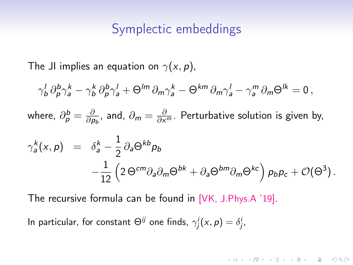## Symplectic embeddings

The JI implies an equation on  $\gamma(x, p)$ ,

$$
\gamma_b^l \partial_p^b \gamma_a^k - \gamma_b^k \partial_p^b \gamma_a^l + \Theta^{lm} \partial_m \gamma_a^k - \Theta^{km} \partial_m \gamma_a^l - \gamma_a^m \partial_m \Theta^{lk} = 0,
$$
  
where,  $\partial_p^b = \frac{\partial}{\partial p_b}$ , and,  $\partial_m = \frac{\partial}{\partial x^m}$ . Perturbative solution is given by,  

$$
\gamma_a^k(x, p) = \delta_a^k - \frac{1}{2} \partial_a \Theta^{kb} p_b
$$

$$
-\frac{1}{12} \left( 2 \Theta^{cm} \partial_a \partial_m \Theta^{bk} + \partial_a \Theta^{bm} \partial_m \Theta^{kc} \right) p_b p_c + \mathcal{O}(\Theta^3).
$$

**K ロ X K 레 X K 회 X X 회 X 및 X X X X X 전** 

The recursive formula can be found in [VK, J.Phys.A '19].

In particular, for constant  $\Theta^{ij}$  one finds,  $\gamma^i_j (x, p) = \delta^i_j,$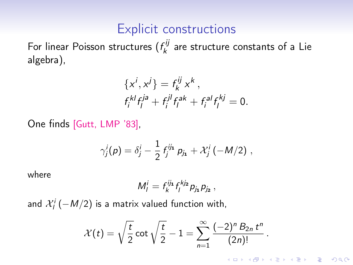## Explicit constructions

For linear Poisson structures ( $f_k^{ij}$  $\frac{c}{k}$  are structure constants of a Lie algebra),

$$
\{x^i, x^j\} = f_k^{ij} x^k,
$$
  
\n
$$
f_i^{kl} f_j^{ja} + f_i^{jl} f_l^{ak} + f_i^{al} f_j^{kj} = 0.
$$

One finds [Gutt, LMP '83],

$$
\gamma_j^i(p) = \delta_j^i - \frac{1}{2} f_j^{ij} p_{j_1} + \mathcal{X}_j^i (-M/2) ,
$$

where

$$
M_l^i = f_k^{ij_1} f_l^{kj_2} p_{j_1} p_{j_2} ,
$$

and  $\mathcal{X}_{I}^{i}\left( -M/2\right)$  is a matrix valued function with,

$$
\mathcal{X}(t) = \sqrt{\frac{t}{2}} \cot \sqrt{\frac{t}{2}} - 1 = \sum_{n=1}^{\infty} \frac{(-2)^n B_{2n} t^n}{(2n)!}.
$$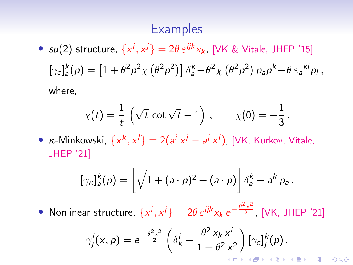# **Examples**

<span id="page-12-0"></span>• su(2) structure,  $\{x^i, x^j\} = 2\theta \, \varepsilon^{ijk} x_k$ , [VK & Vitale, JHEP '15]  $\left[\gamma_\varepsilon\right]_a^k(p)=\left[1+\theta^2\rho^2\chi\left(\theta^2\rho^2\right)\right]\delta^k_a\!-\!\theta^2\chi\left(\theta^2\rho^2\right)p_a\rho^k\!-\!\theta\,\varepsilon_a{}^{kl}p_l\,,$ where,

$$
\chi(t) = \frac{1}{t} \left( \sqrt{t} \cot \sqrt{t} - 1 \right), \qquad \chi(0) = -\frac{1}{3}.
$$

•  $\kappa$ -Minkowski,  $\{x^k, x^l\} = 2(a^i x^j - a^j x^i)$ , [VK, Kurkov, Vitale, JHEP '21]

$$
[\gamma_{\kappa}]_a^k(p) = \left[\sqrt{1 + (a \cdot p)^2} + (a \cdot p)\right] \delta_a^k - a^k p_a.
$$

• Nonlinear structure,  $\{x^i, x^j\} = 2\theta \, \varepsilon^{ijk} x_k \, e^{-\frac{\theta^2 x^2}{2}}$ , [VK, JHEP '21]

$$
\gamma_j^i(x,p) = e^{-\frac{\theta^2 x^2}{2}} \left( \delta_k^i - \frac{\theta^2 x_k x^i}{1 + \theta^2 x^2} \right) [\gamma_{\varepsilon}]_j^k(p).
$$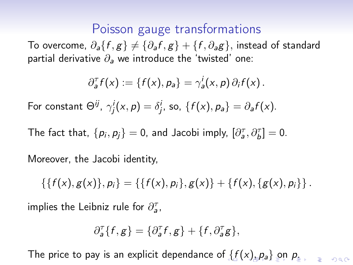## Poisson gauge transformations

<span id="page-13-0"></span>To overcome,  $\partial_{a} \{f, g\} \neq \{\partial_{a} f, g\} + \{f, \partial_{a} g\}$ , instead of standard partial derivative  $\partial_{\sigma}$  we introduce the 'twisted' one:

$$
\partial_a^{\tau} f(x) := \{f(x), p_a\} = \gamma_a^i(x, p) \partial_i f(x).
$$

For constant  $\Theta^{ij}$ ,  $\gamma^i_j(x, p) = \delta^i_j$ , so,  $\{f(x), p_a\} = \partial_a f(x)$ .

The fact that,  $\{p_i, p_j\} = 0$ , and Jacobi imply,  $[\partial_a^{\tau}, \partial_b^{\tau}] = 0$ .

Moreover, the Jacobi identity,

 $\{\{f(x), g(x)\}, p_i\} = \{\{f(x), p_i\}, g(x)\} + \{f(x), \{g(x), p_i\}\}.$ 

implies the Leibniz rule for  $\partial_a^{\tau}$ ,

$$
\partial_a^\tau \{f,g\} = \{\partial_a^\tau f,g\} + \{f,\partial_a^\tau g\},
$$

The [p](#page-0-0)rice to pay is an explicit dependance of  $\{f(x), p_a\}$  $\{f(x), p_a\}$  $\{f(x), p_a\}$  $\{f(x), p_a\}$  $\{f(x), p_a\}$  $\{f(x), p_a\}$  $\{f(x), p_a\}$  $\{f(x), p_a\}$  $\{f(x), p_a\}$  [on](#page-26-0)  $p_a$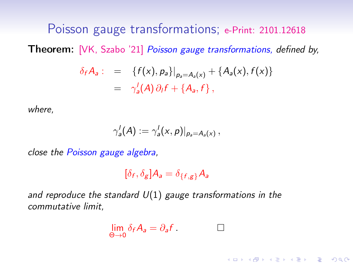<span id="page-14-0"></span>Poisson gauge transformations; e-Print: 2101.12618 Theorem: [VK, Szabo '21] Poisson gauge transformations, defined by,

$$
\delta_f A_a: = \{f(x), p_a\}\big|_{p_a = A_a(x)} + \{A_a(x), f(x)\}\
$$
  
=  $\gamma_a^l(A) \partial_l f + \{A_a, f\},$ 

where,

$$
\gamma_a^I(A) := \gamma_a^I(x,p)|_{p_a = A_a(x)},
$$

close the Poisson gauge algebra,

$$
[\delta_f, \delta_g]A_a = \delta_{\{f,g\}}A_a
$$

and reproduce the standard  $U(1)$  gauge transformations in the commutative limit,

$$
\lim_{\Theta \to 0} \delta_f A_a = \partial_a f . \qquad \qquad \Box
$$

**KORKA BRADE KORA**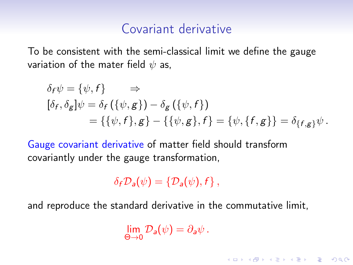#### Covariant derivative

To be consistent with the semi-classical limit we define the gauge variation of the mater field  $\psi$  as,

$$
\delta_f \psi = \{ \psi, f \} \Rightarrow
$$
  
\n
$$
[\delta_f, \delta_g] \psi = \delta_f (\{\psi, g\}) - \delta_g (\{\psi, f\})
$$
  
\n
$$
= \{ \{\psi, f\}, g\} - \{\{\psi, g\}, f\} = \{\psi, \{f, g\}\} = \delta_{\{f, g\}} \psi.
$$

Gauge covariant derivative of matter field should transform covariantly under the gauge transformation,

 $\delta_f \mathcal{D}_a(\psi) = \{ \mathcal{D}_a(\psi), f \},$ 

and reproduce the standard derivative in the commutative limit,

 $\lim_{\Theta \to 0} \mathcal{D}_a(\psi) = \partial_a \psi$ .

4 0 > 4 4 + 4 = > 4 = > = + + 0 4 0 +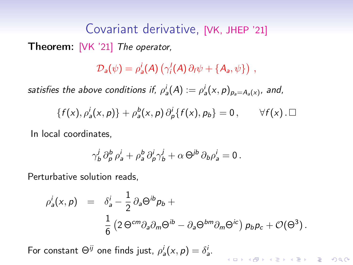Covariant derivative, [VK, JHEP '21] Theorem: [VK '21] The operator,

 $\mathcal{D}_{a}(\psi) = \rho_{a}^{i}(A) \left( \gamma_{i}^{i}(A) \partial_{i} \psi + \{A_{a}, \psi\} \right)$ 

satisfies the above conditions if,  $\rho^i_{\sf a}(A) := \rho^i_{\sf a}(x,p)_{\sf p_{\sf a}=A_{\sf a}(x)}$ , and,

$$
\{f(x),\rho_a^i(x,p)\}+\rho_a^b(x,p)\partial_p^i\{f(x),p_b\}=0\,,\qquad\forall f(x)\,.\,\Box
$$

In local coordinates,

$$
\gamma_b^j\,\partial_p^b\,\rho_a^i+\rho_a^b\,\partial_p^i\gamma_b^j+\alpha\,\Theta^{jb}\,\partial_b\rho_a^i=0\,.
$$

Perturbative solution reads,

$$
\rho_s^i(x, p) = \delta_a^i - \frac{1}{2} \partial_a \Theta^{ib} p_b +
$$
  

$$
\frac{1}{6} \left( 2 \Theta^{cm} \partial_a \partial_m \Theta^{ib} - \partial_a \Theta^{bm} \partial_m \Theta^{ic} \right) p_b p_c + \mathcal{O}(\Theta^3).
$$

For constant  $\Theta^{ij}$  one finds just,  $\rho_a^i(x, p) = \delta_a^i$ .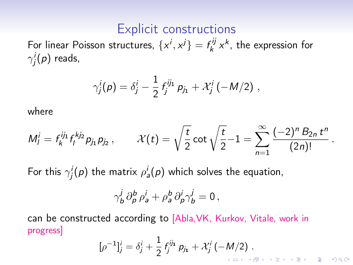## Explicit constructions

For linear Poisson structures,  $\{x^i, x^j\} = f_k^{ij}$  $\frac{f^{IJ}}{k}$   $x^k$ , the expression for  $\gamma^i_j(\rho)$  reads,

$$
\gamma_j^i(p) = \delta_j^i - \frac{1}{2} f_j^{ij_1} p_{j_1} + \mathcal{X}_j^i (-M/2) ,
$$

where

$$
M_1^i = f_k^{ij_1} f_1^{kj_2} p_{j_1} p_{j_2}, \qquad \mathcal{X}(t) = \sqrt{\frac{t}{2}} \cot \sqrt{\frac{t}{2}} - 1 = \sum_{n=1}^{\infty} \frac{(-2)^n B_{2n} t^n}{(2n)!}.
$$

For this  $\gamma^i_j(\rho)$  the matrix  $\rho^i_a(\rho)$  which solves the equation,

$$
\gamma^j_b \, \partial^b_\rho \, \rho^i_a + \rho^b_a \, \partial^i_\rho \gamma^j_b = 0 \,,
$$

can be constructed according to [Abla,VK, Kurkov, Vitale, work in progress]

$$
[\rho^{-1}]^i_j = \delta^i_j + \frac{1}{2} f^{i j_1}_j p_{j_1} + \mathcal{X}^i_j (-M/2) .
$$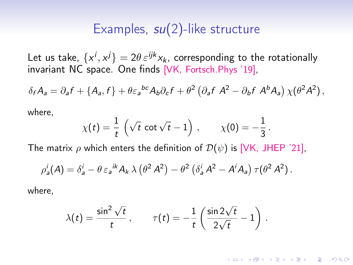# Examples,  $su(2)$ -like structure

Let us take,  $\{x^i, x^j\} = 2\theta \, \varepsilon^{ijk} x_k$ , corresponding to the rotationally invariant NC space. One finds [VK, Fortsch.Phys '19],

$$
\delta_f A_a = \partial_a f + \{A_a, f\} + \theta \varepsilon_a{}^{bc} A_b \partial_c f + \theta^2 \left(\partial_a f \; A^2 - \partial_b f \; A^b A_a\right) \chi(\theta^2 A^2),
$$

where,

$$
\chi(t) = \frac{1}{t} \left( \sqrt{t} \cot \sqrt{t} - 1 \right), \qquad \chi(0) = -\frac{1}{3}.
$$

The matrix  $\rho$  which enters the definition of  $\mathcal{D}(\psi)$  is [VK, JHEP '21],

$$
\rho_a^i(A) = \delta_a^i - \theta \varepsilon_a^{ik} A_k \lambda (\theta^2 A^2) - \theta^2 (\delta_a^i A^2 - A^i A_a) \tau (\theta^2 A^2).
$$

where,

$$
\lambda(t) = \frac{\sin^2 \sqrt{t}}{t}, \qquad \tau(t) = -\frac{1}{t} \left( \frac{\sin 2\sqrt{t}}{2\sqrt{t}} - 1 \right).
$$

**KORKA BRADE KORA**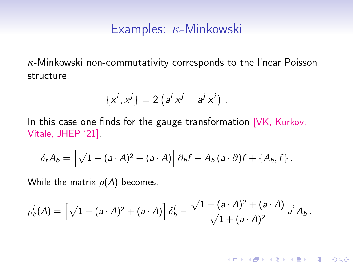#### Examples:  $\kappa$ -Minkowski

<span id="page-19-0"></span> $\kappa$ -Minkowski non-commutativity corresponds to the linear Poisson structure,

$$
\{x^i, x^j\} = 2 (a^i x^j - a^j x^i) .
$$

In this case one finds for the gauge transformation [VK, Kurkov, Vitale, JHEP '21],

$$
\delta_f A_b = \left[ \sqrt{1 + (a \cdot A)^2} + (a \cdot A) \right] \partial_b f - A_b (a \cdot \partial) f + \{A_b, f\}.
$$

While the matrix  $\rho(A)$  becomes,

$$
\rho_b^i(A) = \left[\sqrt{1 + (a \cdot A)^2} + (a \cdot A)\right] \delta_b^i - \frac{\sqrt{1 + (a \cdot A)^2} + (a \cdot A)}{\sqrt{1 + (a \cdot A)^2}} a^i A_b.
$$

K ロ ▶ K 個 ▶ K 할 > K 할 > 1 할 > 1 이익어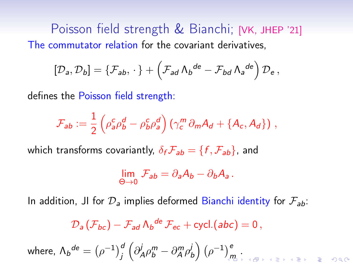<span id="page-20-0"></span>Poisson field strength & Bianchi; [VK, JHEP '21] The commutator relation for the covariant derivatives,

$$
[\mathcal{D}_a, \mathcal{D}_b] = \{ \mathcal{F}_{ab}, \cdot \} + \left( \mathcal{F}_{ad} \Lambda_b{}^{de} - \mathcal{F}_{bd} \Lambda_a{}^{de} \right) \mathcal{D}_e \,,
$$

defines the Poisson field strength:

$$
\mathcal{F}_{ab} := \frac{1}{2} \left( \rho_a^c \rho_b^d - \rho_b^c \rho_a^d \right) \left( \gamma_c^m \partial_m A_d + \{A_c, A_d\} \right) ,
$$

which transforms covariantly,  $\delta_f \mathcal{F}_{ab} = \{f, \mathcal{F}_{ab}\}\$ , and

$$
\lim_{\Theta \to 0} \mathcal{F}_{ab} = \partial_a A_b - \partial_b A_a \, .
$$

In addition, JI for  $\mathcal{D}_a$  implies deformed Bianchi identity for  $\mathcal{F}_{ab}$ :

$$
\mathcal{D}_a(\mathcal{F}_{bc})-\mathcal{F}_{ad}\,\Lambda_b{}^{de}\,\mathcal{F}_{ec}+cycl.(abc)=0\,,
$$

where, 
$$
\Lambda_b{}^{de} = (\rho^{-1})^d_j \left( \partial^j_A \rho^m_b - \partial^m_A \rho^j_b \right) (\rho^{-1})^e_{m}.
$$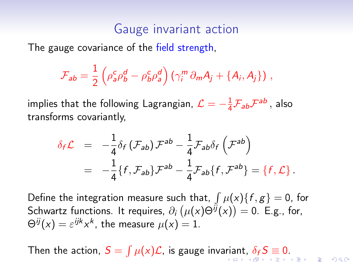## Gauge invariant action

<span id="page-21-0"></span>The gauge covariance of the field strength,

$$
\mathcal{F}_{ab} = \frac{1}{2} \left( \rho_a^c \rho_b^d - \rho_b^c \rho_a^d \right) \left( \gamma_i^m \partial_m A_j + \{A_i, A_j\} \right) ,
$$

implies that the following Lagrangian,  $\mathcal{L}=-\frac{1}{4}\mathcal{F}_{ab}\mathcal{F}^{ab}$  , also transforms covariantly,

$$
\delta_f \mathcal{L} = -\frac{1}{4} \delta_f \left( \mathcal{F}_{ab} \right) \mathcal{F}^{ab} - \frac{1}{4} \mathcal{F}_{ab} \delta_f \left( \mathcal{F}^{ab} \right)
$$
  
= 
$$
-\frac{1}{4} \{ f, \mathcal{F}_{ab} \} \mathcal{F}^{ab} - \frac{1}{4} \mathcal{F}_{ab} \{ f, \mathcal{F}^{ab} \} = \{ f, \mathcal{L} \}.
$$

Define the integration measure such that,  $\int \mu(x) \{f , g\} = 0$ , for Schwartz functions. It requires,  $\partial_i(\mu(x)\Theta^{ij}(x))=0$ . E.g., for,  $\Theta^{ij}(x)=\varepsilon^{ijk}x^k$ , the measure  $\mu(x)=1$ .

Then the action[,](#page-20-0)  $S = \int \mu(x) \mathcal{L}$  $S = \int \mu(x) \mathcal{L}$  $S = \int \mu(x) \mathcal{L}$ , is gauge inv[aria](#page-20-0)nt,  $\delta_f S \equiv 0$  $\delta_f S \equiv 0$  $\delta_f S \equiv 0$  $\delta_f S \equiv 0$  $\delta_f S \equiv 0$  $\delta_f S \equiv 0$ [.](#page-0-0)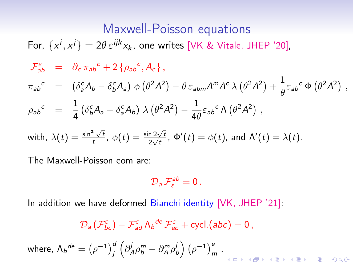<span id="page-22-0"></span>Maxwell-Poisson equations For,  $\{x^i, x^j\} = 2\theta \, \varepsilon^{ijk} x_k$ , one writes [VK & Vitale, JHEP '20],  $\mathcal{F}^{\varepsilon}_{ab} = \partial_c \pi_{ab}{}^c + 2 \{\rho_{ab}{}^c, A_c\},$  $\pi_{ab}{}^c \quad = \quad \left( \delta^c_a A_b - \delta^c_b A_a \right) \, \phi \left( \theta^2 A^2 \right) - \theta \, \varepsilon_{abm} A^m A^c \, \lambda \left( \theta^2 A^2 \right) + \frac{1}{\theta}$  $\frac{1}{\theta} \varepsilon_{ab}^c \Phi \left( \theta^2 A^2 \right)$ ,  $\rho_{ab}^c = \frac{1}{4}$  $\frac{1}{4} \left( \delta^c_b A_a - \delta^c_a A_b \right) \lambda \left( \theta^2 A^2 \right) - \frac{1}{4 \ell}$  $\frac{1}{4\theta} \varepsilon_{ab}^c \Lambda \left(\theta^2 A^2\right)$ , with,  $\lambda(t) = \frac{\sin^2 \sqrt{t}}{t}$ ,  $\phi(t) = \frac{\sin 2 \sqrt{t}}{2 \sqrt{t}}$  $\frac{n \cdot 2 \sqrt{t}}{2 \sqrt{t}}$ ,  $\Phi'(t) = \phi(t)$ , and  $\Lambda'(t) = \lambda(t)$ .

The Maxwell-Poisson eom are:

$$
\mathcal{D}_a\,\mathcal{F}^{ab}_{\varepsilon}=0\,.
$$

In addition we have deformed Bianchi identity [VK, JHEP '21]:

$$
\mathcal{D}_{\sf a}\left(\mathcal{F}^{\varepsilon}_{bc}\right)-\mathcal{F}^{\varepsilon}_{\sf a d}\,\mathsf{\Lambda}_{b}{}^{d\sf e}\,\mathcal{F}^{\varepsilon}_{\sf ec}+\text{cycl.}({\sf abc})=0\,,
$$

where,  $\Lambda_b{}^{de}=\left(\rho^{-1}\right)_j^d\left(\partial^j_{\!A}\rho^m_b-\partial^m_{\!A}\rho^j_b\right)\left(\rho^{-1}\right)^e_m$  .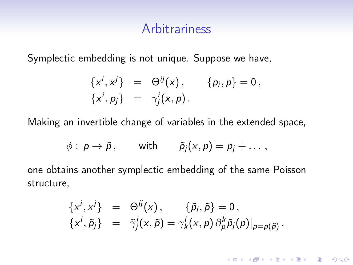#### **Arbitrariness**

Symplectic embedding is not unique. Suppose we have,

$$
\{x^i, x^j\} = \Theta^{ij}(x), \qquad \{p_i, p\} = 0, \{x^i, p_j\} = \gamma^i_j(x, p).
$$

Making an invertible change of variables in the extended space,

$$
\phi: \ p \to \tilde{p}, \qquad \text{with} \qquad \tilde{p}_j(x,p) = p_j + \ldots,
$$

one obtains another symplectic embedding of the same Poisson structure,

$$
\begin{array}{rcl}\n\{x^i, x^j\} & = & \Theta^{ij}(x), \qquad \{\tilde{p}_i, \tilde{p}\} = 0, \\
\{x^i, \tilde{p}_j\} & = & \tilde{\gamma}_j^i(x, \tilde{p}) = \gamma_k^i(x, p) \partial_p^k \tilde{p}_j(p)|_{p = p(\tilde{p})}.\n\end{array}
$$

**K ロ X K 레 X K 회 X X 회 X 및 X X X X X 전**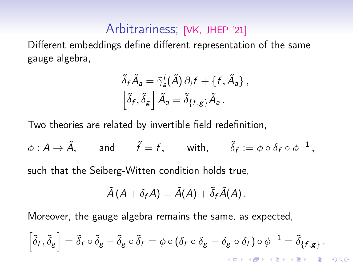## Arbitrariness; [VK, JHEP '21]

Different embeddings define different representation of the same gauge algebra,

$$
\begin{aligned}\n\tilde{\delta}_f \tilde{A}_a &= \tilde{\gamma}_a^i(\tilde{A}) \partial_i f + \{f, \tilde{A}_a\} \,, \\
\left[\tilde{\delta}_f, \tilde{\delta}_g\right] \tilde{A}_a &= \tilde{\delta}_{\{f, g\}} \tilde{A}_a \,. \n\end{aligned}
$$

Two theories are related by invertible field redefinition,

 $\phi: \mathcal{A} \to \tilde{\mathcal{A}},$  and  $\tilde{f} = f$ , with,  $\tilde{\delta}_f := \phi \circ \delta_f \circ \phi^{-1}$ , such that the Seiberg-Witten condition holds true,

$$
\tilde{A}(A+\delta_f A)=\tilde{A}(A)+\tilde{\delta}_f\tilde{A}(A).
$$

Moreover, the gauge algebra remains the same, as expected,

$$
\left[\tilde{\delta}_{f}, \tilde{\delta}_{g}\right] = \tilde{\delta}_{f} \circ \tilde{\delta}_{g} - \tilde{\delta}_{g} \circ \tilde{\delta}_{f} = \phi \circ (\delta_{f} \circ \delta_{g} - \delta_{g} \circ \delta_{f}) \circ \phi^{-1} = \tilde{\delta}_{\{f, g\}}.
$$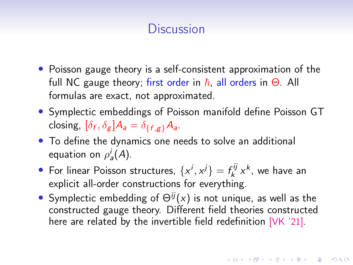# **Discussion**

- Poisson gauge theory is a self-consistent approximation of the full NC gauge theory; first order in  $\hbar$ , all orders in  $\Theta$ . All formulas are exact, not approximated.
- Symplectic embeddings of Poisson manifold define Poisson GT closing,  $[\delta_f, \delta_g] A_a = \delta_{\{f,g\}} A_a$ .
- To define the dynamics one needs to solve an additional equation on  $\rho^i_a(A)$ .
- For linear Poisson structures,  $\{x^i, x^j\} = f_k^{ij}$  $\int_k^{ty} x^k$ , we have an explicit all-order constructions for everything.
- Symplectic embedding of  $\Theta^{ij}(x)$  is not unique, as well as the constructed gauge theory. Different field theories constructed here are related by the invertible field redefinition [VK '21].